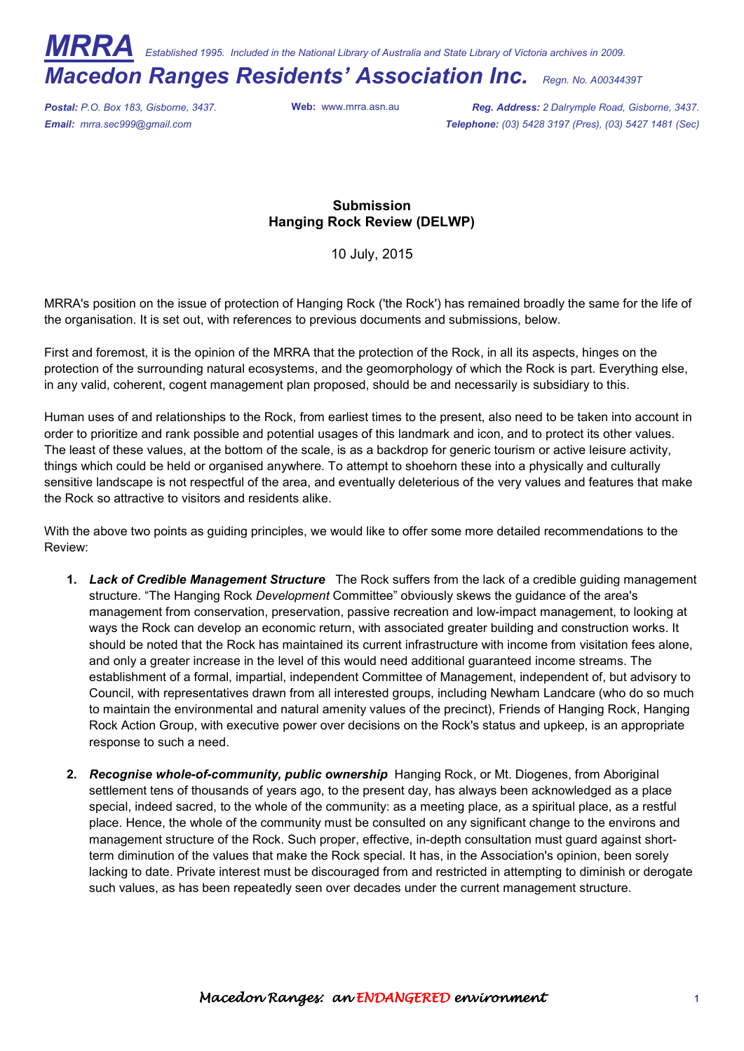*MRRA Established 1995. Included in the National Library of Australia and State Library of Victoria archives in 2009.* 

## *Macedon Ranges Residents' Association Inc. Regn. No. A0034439T*

*Postal: P.O. Box 183, Gisborne, 3437.* **Web:** www.mrra.asn.au *Reg. Address: 2 Dalrymple Road, Gisborne, 3437. Email: mrra.sec999@gmail.com Telephone: (03) 5428 3197 (Pres), (03) 5427 1481 (Sec)*

## **Submission Hanging Rock Review (DELWP)**

10 July, 2015

MRRA's position on the issue of protection of Hanging Rock ('the Rock') has remained broadly the same for the life of the organisation. It is set out, with references to previous documents and submissions, below.

First and foremost, it is the opinion of the MRRA that the protection of the Rock, in all its aspects, hinges on the protection of the surrounding natural ecosystems, and the geomorphology of which the Rock is part. Everything else, in any valid, coherent, cogent management plan proposed, should be and necessarily is subsidiary to this.

Human uses of and relationships to the Rock, from earliest times to the present, also need to be taken into account in order to prioritize and rank possible and potential usages of this landmark and icon, and to protect its other values. The least of these values, at the bottom of the scale, is as a backdrop for generic tourism or active leisure activity, things which could be held or organised anywhere. To attempt to shoehorn these into a physically and culturally sensitive landscape is not respectful of the area, and eventually deleterious of the very values and features that make the Rock so attractive to visitors and residents alike.

With the above two points as guiding principles, we would like to offer some more detailed recommendations to the Review:

- **1.** *Lack of Credible Management Structure* The Rock suffers from the lack of a credible guiding management structure. "The Hanging Rock *Development* Committee" obviously skews the guidance of the area's management from conservation, preservation, passive recreation and low-impact management, to looking at ways the Rock can develop an economic return, with associated greater building and construction works. It should be noted that the Rock has maintained its current infrastructure with income from visitation fees alone, and only a greater increase in the level of this would need additional guaranteed income streams. The establishment of a formal, impartial, independent Committee of Management, independent of, but advisory to Council, with representatives drawn from all interested groups, including Newham Landcare (who do so much to maintain the environmental and natural amenity values of the precinct), Friends of Hanging Rock, Hanging Rock Action Group, with executive power over decisions on the Rock's status and upkeep, is an appropriate response to such a need.
- **2.** *Recognise whole-of-community, public ownership* Hanging Rock, or Mt. Diogenes, from Aboriginal settlement tens of thousands of years ago, to the present day, has always been acknowledged as a place special, indeed sacred, to the whole of the community: as a meeting place, as a spiritual place, as a restful place. Hence, the whole of the community must be consulted on any significant change to the environs and management structure of the Rock. Such proper, effective, in-depth consultation must guard against shortterm diminution of the values that make the Rock special. It has, in the Association's opinion, been sorely lacking to date. Private interest must be discouraged from and restricted in attempting to diminish or derogate such values, as has been repeatedly seen over decades under the current management structure.